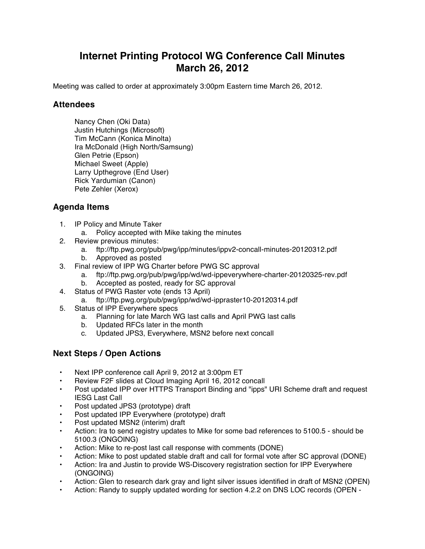## **Internet Printing Protocol WG Conference Call Minutes March 26, 2012**

Meeting was called to order at approximately 3:00pm Eastern time March 26, 2012.

## **Attendees**

Nancy Chen (Oki Data) Justin Hutchings (Microsoft) Tim McCann (Konica Minolta) Ira McDonald (High North/Samsung) Glen Petrie (Epson) Michael Sweet (Apple) Larry Upthegrove (End User) Rick Yardumian (Canon) Pete Zehler (Xerox)

## **Agenda Items**

- 1. IP Policy and Minute Taker
	- a. Policy accepted with Mike taking the minutes
- 2. Review previous minutes:
	- a. ftp://ftp.pwg.org/pub/pwg/ipp/minutes/ippv2-concall-minutes-20120312.pdf
	- b. Approved as posted
- 3. Final review of IPP WG Charter before PWG SC approval
	- a. ftp://ftp.pwg.org/pub/pwg/ipp/wd/wd-ippeverywhere-charter-20120325-rev.pdf
	- b. Accepted as posted, ready for SC approval
- 4. Status of PWG Raster vote (ends 13 April)
	- a. ftp://ftp.pwg.org/pub/pwg/ipp/wd/wd-ippraster10-20120314.pdf
- 5. Status of IPP Everywhere specs
	- a. Planning for late March WG last calls and April PWG last calls
	- b. Updated RFCs later in the month
	- c. Updated JPS3, Everywhere, MSN2 before next concall

## **Next Steps / Open Actions**

- Next IPP conference call April 9, 2012 at 3:00pm ET
- Review F2F slides at Cloud Imaging April 16, 2012 concall
- Post updated IPP over HTTPS Transport Binding and "ipps" URI Scheme draft and request IESG Last Call
- Post updated JPS3 (prototype) draft
- Post updated IPP Everywhere (prototype) draft
- Post updated MSN2 (interim) draft
- Action: Ira to send registry updates to Mike for some bad references to 5100.5 should be 5100.3 (ONGOING)
- Action: Mike to re-post last call response with comments (DONE)
- Action: Mike to post updated stable draft and call for formal vote after SC approval (DONE)
- Action: Ira and Justin to provide WS-Discovery registration section for IPP Everywhere (ONGOING)
- Action: Glen to research dark gray and light silver issues identified in draft of MSN2 (OPEN)
- Action: Randy to supply updated wording for section 4.2.2 on DNS LOC records (OPEN -